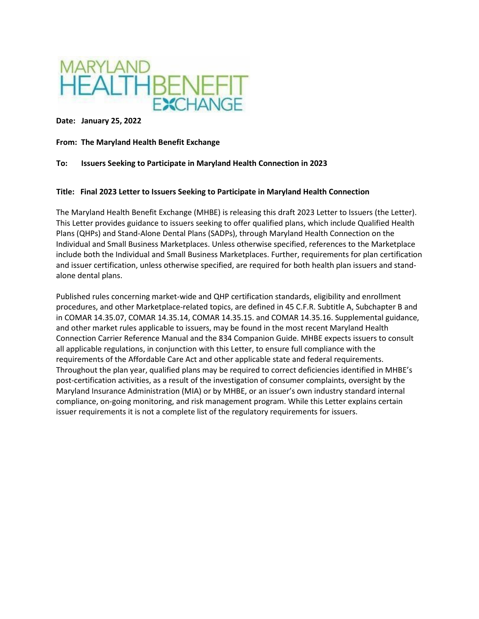

**Date: January 25, 2022** 

**From: The Maryland Health Benefit Exchange**

#### **To: Issuers Seeking to Participate in Maryland Health Connection in 2023**

#### **Title: Final 2023 Letter to Issuers Seeking to Participate in Maryland Health Connection**

The Maryland Health Benefit Exchange (MHBE) is releasing this draft 2023 Letter to Issuers (the Letter). This Letter provides guidance to issuers seeking to offer qualified plans, which include Qualified Health Plans (QHPs) and Stand-Alone Dental Plans (SADPs), through Maryland Health Connection on the Individual and Small Business Marketplaces. Unless otherwise specified, references to the Marketplace include both the Individual and Small Business Marketplaces. Further, requirements for plan certification and issuer certification, unless otherwise specified, are required for both health plan issuers and standalone dental plans.

Published rules concerning market-wide and QHP certification standards, eligibility and enrollment procedures, and other Marketplace-related topics, are defined in 45 C.F.R. Subtitle A, Subchapter B and in COMAR 14.35.07, COMAR 14.35.14, COMAR 14.35.15. and COMAR 14.35.16. Supplemental guidance, and other market rules applicable to issuers, may be found in the most recent Maryland Health Connection Carrier Reference Manual and the 834 Companion Guide. MHBE expects issuers to consult all applicable regulations, in conjunction with this Letter, to ensure full compliance with the requirements of the Affordable Care Act and other applicable state and federal requirements. Throughout the plan year, qualified plans may be required to correct deficiencies identified in MHBE's post-certification activities, as a result of the investigation of consumer complaints, oversight by the Maryland Insurance Administration (MIA) or by MHBE, or an issuer's own industry standard internal compliance, on-going monitoring, and risk management program. While this Letter explains certain issuer requirements it is not a complete list of the regulatory requirements for issuers.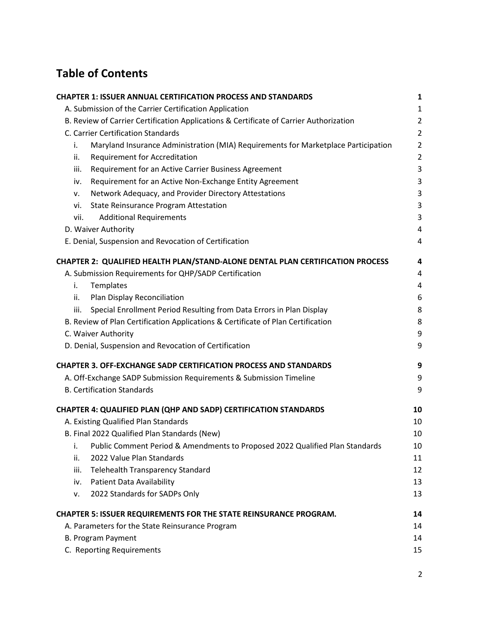# **Table of Contents**

| <b>CHAPTER 1: ISSUER ANNUAL CERTIFICATION PROCESS AND STANDARDS</b>                      | 1              |
|------------------------------------------------------------------------------------------|----------------|
| A. Submission of the Carrier Certification Application                                   | $\mathbf{1}$   |
| B. Review of Carrier Certification Applications & Certificate of Carrier Authorization   | $\overline{2}$ |
| C. Carrier Certification Standards                                                       | $\overline{2}$ |
| Maryland Insurance Administration (MIA) Requirements for Marketplace Participation<br>i. | $\overline{2}$ |
| <b>Requirement for Accreditation</b><br>ii.                                              | $\overline{2}$ |
| Requirement for an Active Carrier Business Agreement<br>iii.                             | 3              |
| Requirement for an Active Non-Exchange Entity Agreement<br>iv.                           | 3              |
| Network Adequacy, and Provider Directory Attestations<br>ν.                              | 3              |
| State Reinsurance Program Attestation<br>vi.                                             | 3              |
| vii.<br><b>Additional Requirements</b>                                                   | 3              |
| D. Waiver Authority                                                                      | 4              |
| E. Denial, Suspension and Revocation of Certification                                    | 4              |
| CHAPTER 2: QUALIFIED HEALTH PLAN/STAND-ALONE DENTAL PLAN CERTIFICATION PROCESS           | 4              |
| A. Submission Requirements for QHP/SADP Certification                                    | 4              |
| Templates<br>i.                                                                          | 4              |
| Plan Display Reconciliation<br>ii.                                                       | 6              |
| Special Enrollment Period Resulting from Data Errors in Plan Display<br>iii.             | 8              |
| B. Review of Plan Certification Applications & Certificate of Plan Certification         | 8              |
| C. Waiver Authority                                                                      | 9              |
| D. Denial, Suspension and Revocation of Certification                                    | 9              |
| <b>CHAPTER 3. OFF-EXCHANGE SADP CERTIFICATION PROCESS AND STANDARDS</b>                  | 9              |
| A. Off-Exchange SADP Submission Requirements & Submission Timeline                       | 9              |
| <b>B. Certification Standards</b>                                                        | 9              |
| CHAPTER 4: QUALIFIED PLAN (QHP AND SADP) CERTIFICATION STANDARDS                         | 10             |
| A. Existing Qualified Plan Standards                                                     | 10             |
| B. Final 2022 Qualified Plan Standards (New)                                             | 10             |
| Public Comment Period & Amendments to Proposed 2022 Qualified Plan Standards<br>i.       | 10             |
| 2022 Value Plan Standards<br>ii.                                                         | 11             |
| iii.<br>Telehealth Transparency Standard                                                 | 12             |
| Patient Data Availability<br>iv.                                                         | 13             |
| 2022 Standards for SADPs Only<br>٧.                                                      | 13             |
| <b>CHAPTER 5: ISSUER REQUIREMENTS FOR THE STATE REINSURANCE PROGRAM.</b>                 | 14             |
| A. Parameters for the State Reinsurance Program                                          | 14             |
| <b>B. Program Payment</b>                                                                | 14             |
| C. Reporting Requirements                                                                | 15             |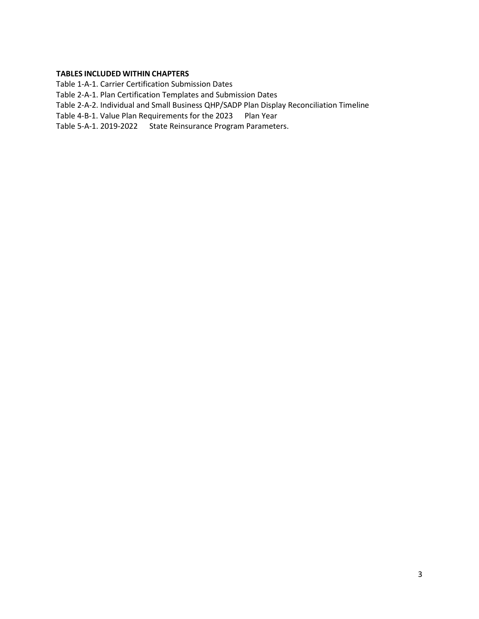#### **TABLES INCLUDED WITHIN CHAPTERS**

Table 1-A-1. Carrier Certification Submission Dates

Table 2-A-1. Plan Certification Templates and Submission Dates

Table 2-A-2. Individual and Small Business QHP/SADP Plan Display Reconciliation Timeline

Table 4-B-1. Value Plan Requirements for the 2023 Plan Year

Table 5-A-1. 2019-2022 State Reinsurance Program Parameters.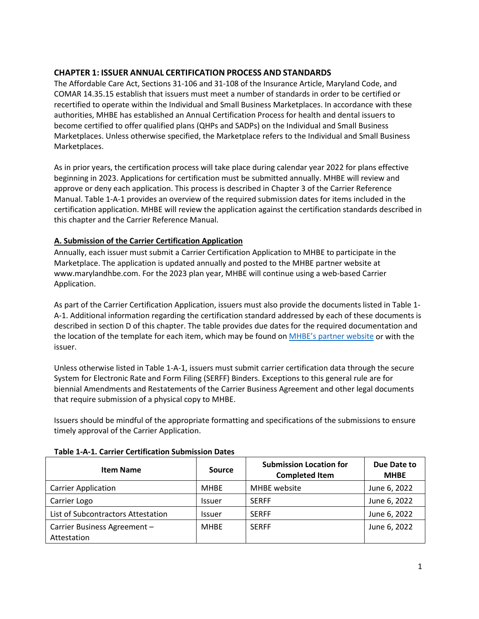# <span id="page-3-0"></span>**CHAPTER 1: ISSUER ANNUAL CERTIFICATION PROCESS AND STANDARDS**

The Affordable Care Act, Sections 31-106 and 31-108 of the Insurance Article, Maryland Code, and COMAR 14.35.15 establish that issuers must meet a number of standards in order to be certified or recertified to operate within the Individual and Small Business Marketplaces. In accordance with these authorities, MHBE has established an Annual Certification Process for health and dental issuers to become certified to offer qualified plans (QHPs and SADPs) on the Individual and Small Business Marketplaces. Unless otherwise specified, the Marketplace refers to the Individual and Small Business Marketplaces.

As in prior years, the certification process will take place during calendar year 2022 for plans effective beginning in 2023. Applications for certification must be submitted annually. MHBE will review and approve or deny each application. This process is described in Chapter 3 of the Carrier Reference Manual. Table 1-A-1 provides an overview of the required submission dates for items included in the certification application. MHBE will review the application against the certification standards described in this chapter and the Carrier Reference Manual.

# <span id="page-3-1"></span>**A. Submission of the Carrier Certification Application**

Annually, each issuer must submit a Carrier Certification Application to MHBE to participate in the Marketplace. The application is updated annually and posted to the MHBE partner website at www.marylandhbe.com. For the 2023 plan year, MHBE will continue using a web-based Carrier Application.

As part of the Carrier Certification Application, issuers must also provide the documents listed in Table 1- A-1. Additional information regarding the certification standard addressed by each of these documents is described in section D of this chapter. The table provides due dates for the required documentation and the location of the template for each item, which may be found on MHBE's [partner website](http://www.marylandhbe.com/carriers-and-shop-administration/carriers/) or with the issuer.

Unless otherwise listed in Table 1-A-1, issuers must submit carrier certification data through the secure System for Electronic Rate and Form Filing (SERFF) Binders. Exceptions to this general rule are for biennial Amendments and Restatements of the Carrier Business Agreement and other legal documents that require submission of a physical copy to MHBE.

Issuers should be mindful of the appropriate formatting and specifications of the submissions to ensure timely approval of the Carrier Application.

| <b>Item Name</b>                            | <b>Source</b> | <b>Submission Location for</b><br><b>Completed Item</b> | Due Date to<br><b>MHBE</b> |
|---------------------------------------------|---------------|---------------------------------------------------------|----------------------------|
| <b>Carrier Application</b>                  | <b>MHBE</b>   | MHBE website                                            | June 6, 2022               |
| Carrier Logo                                | <b>Issuer</b> | <b>SERFF</b>                                            | June 6, 2022               |
| List of Subcontractors Attestation          | <b>Issuer</b> | <b>SERFF</b>                                            | June 6, 2022               |
| Carrier Business Agreement -<br>Attestation | <b>MHBE</b>   | <b>SERFF</b>                                            | June 6, 2022               |

## **Table 1-A-1. Carrier Certification Submission Dates**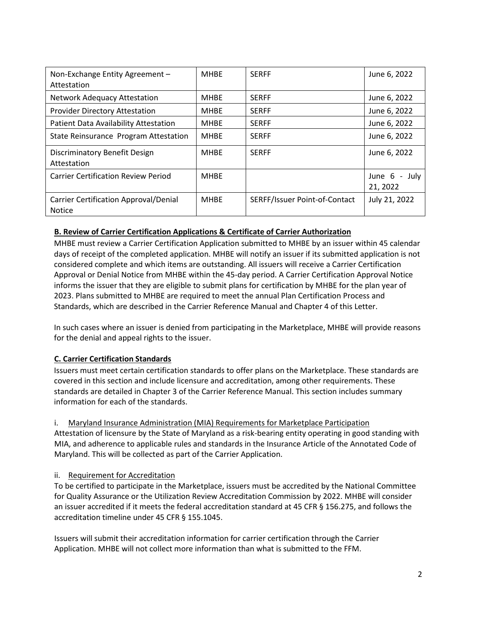| Non-Exchange Entity Agreement -<br>Attestation                | <b>MHBE</b> | <b>SERFF</b>                  | June 6, 2022                |
|---------------------------------------------------------------|-------------|-------------------------------|-----------------------------|
| Network Adequacy Attestation                                  | <b>MHBE</b> | <b>SERFF</b>                  | June 6, 2022                |
| <b>Provider Directory Attestation</b>                         | <b>MHBE</b> | <b>SERFF</b>                  | June 6, 2022                |
| Patient Data Availability Attestation                         | <b>MHBE</b> | <b>SERFF</b>                  | June 6, 2022                |
| State Reinsurance Program Attestation                         | <b>MHBF</b> | <b>SERFF</b>                  | June 6, 2022                |
| Discriminatory Benefit Design<br>Attestation                  | <b>MHBE</b> | <b>SERFF</b>                  | June 6, 2022                |
| <b>Carrier Certification Review Period</b>                    | <b>MHBF</b> |                               | June $6 -$ July<br>21, 2022 |
| <b>Carrier Certification Approval/Denial</b><br><b>Notice</b> | <b>MHBF</b> | SERFF/Issuer Point-of-Contact | July 21, 2022               |

## <span id="page-4-0"></span>**B. Review of Carrier Certification Applications & Certificate of Carrier Authorization**

MHBE must review a Carrier Certification Application submitted to MHBE by an issuer within 45 calendar days of receipt of the completed application. MHBE will notify an issuer if its submitted application is not considered complete and which items are outstanding. All issuers will receive a Carrier Certification Approval or Denial Notice from MHBE within the 45-day period. A Carrier Certification Approval Notice informs the issuer that they are eligible to submit plans for certification by MHBE for the plan year of 2023. Plans submitted to MHBE are required to meet the annual Plan Certification Process and Standards, which are described in the Carrier Reference Manual and Chapter 4 of this Letter.

In such cases where an issuer is denied from participating in the Marketplace, MHBE will provide reasons for the denial and appeal rights to the issuer.

## <span id="page-4-1"></span>**C. Carrier Certification Standards**

Issuers must meet certain certification standards to offer plans on the Marketplace. These standards are covered in this section and include licensure and accreditation, among other requirements. These standards are detailed in Chapter 3 of the Carrier Reference Manual. This section includes summary information for each of the standards.

<span id="page-4-2"></span>i. Maryland Insurance Administration (MIA) Requirements for Marketplace Participation

Attestation of licensure by the State of Maryland as a risk-bearing entity operating in good standing with MIA, and adherence to applicable rules and standards in the Insurance Article of the Annotated Code of Maryland. This will be collected as part of the Carrier Application.

#### <span id="page-4-3"></span>ii. Requirement for Accreditation

To be certified to participate in the Marketplace, issuers must be accredited by the National Committee for Quality Assurance or the Utilization Review Accreditation Commission by 2022. MHBE will consider an issuer accredited if it meets the federal accreditation standard at 45 CFR § 156.275, and follows the accreditation timeline under 45 CFR § 155.1045.

Issuers will submit their accreditation information for carrier certification through the Carrier Application. MHBE will not collect more information than what is submitted to the FFM.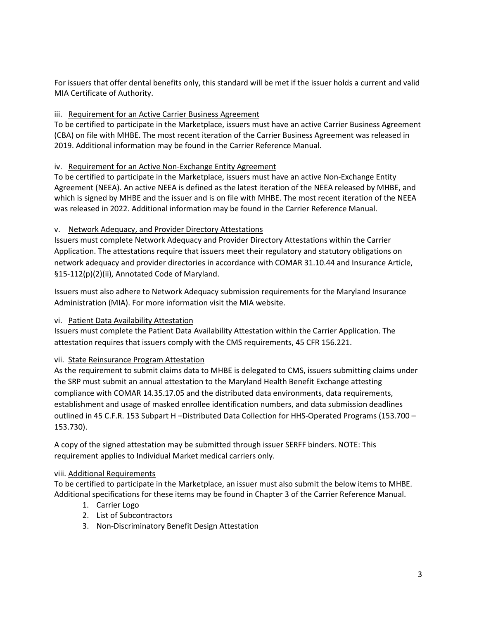For issuers that offer dental benefits only, this standard will be met if the issuer holds a current and valid MIA Certificate of Authority.

# <span id="page-5-0"></span>iii. Requirement for an Active Carrier Business Agreement

To be certified to participate in the Marketplace, issuers must have an active Carrier Business Agreement (CBA) on file with MHBE. The most recent iteration of the Carrier Business Agreement was released in 2019. Additional information may be found in the Carrier Reference Manual.

## <span id="page-5-1"></span>iv. Requirement for an Active Non-Exchange Entity Agreement

To be certified to participate in the Marketplace, issuers must have an active Non-Exchange Entity Agreement (NEEA). An active NEEA is defined as the latest iteration of the NEEA released by MHBE, and which is signed by MHBE and the issuer and is on file with MHBE. The most recent iteration of the NEEA was released in 2022. Additional information may be found in the Carrier Reference Manual.

## <span id="page-5-2"></span>v. Network Adequacy, and Provider Directory Attestations

Issuers must complete Network Adequacy and Provider Directory Attestations within the Carrier Application. The attestations require that issuers meet their regulatory and statutory obligations on network adequacy and provider directories in accordance with COMAR 31.10.44 and Insurance Article, §15-112(p)(2)(ii), Annotated Code of Maryland.

Issuers must also adhere to Network Adequacy submission requirements for the Maryland Insurance Administration (MIA). For more information visit the MIA website.

## <span id="page-5-3"></span>vi. Patient Data Availability Attestation

Issuers must complete the Patient Data Availability Attestation within the Carrier Application. The attestation requires that issuers comply with the CMS requirements, 45 CFR 156.221.

## vii. State Reinsurance Program Attestation

As the requirement to submit claims data to MHBE is delegated to CMS, issuers submitting claims under the SRP must submit an annual attestation to the Maryland Health Benefit Exchange attesting compliance with COMAR 14.35.17.05 and the distributed data environments, data requirements, establishment and usage of masked enrollee identification numbers, and data submission deadlines outlined in 45 C.F.R. 153 Subpart H –Distributed Data Collection for HHS-Operated Programs (153.700 – 153.730).

A copy of the signed attestation may be submitted through issuer SERFF binders. NOTE: This requirement applies to Individual Market medical carriers only.

## <span id="page-5-4"></span>viii. Additional Requirements

To be certified to participate in the Marketplace, an issuer must also submit the below items to MHBE. Additional specifications for these items may be found in Chapter 3 of the Carrier Reference Manual.

- 1. Carrier Logo
- 2. List of Subcontractors
- 3. Non-Discriminatory Benefit Design Attestation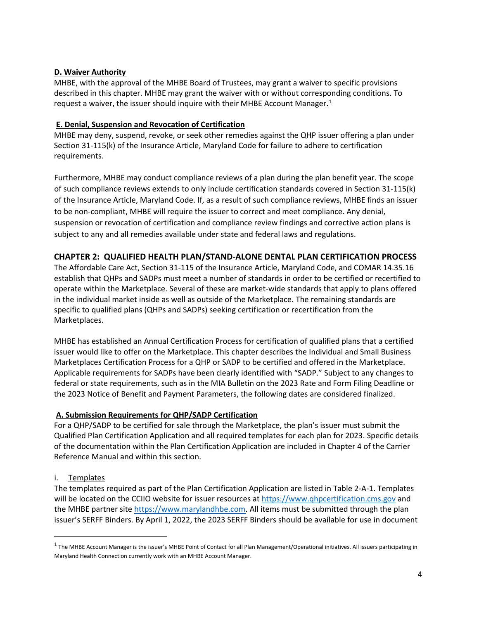#### <span id="page-6-0"></span>**D. Waiver Authority**

MHBE, with the approval of the MHBE Board of Trustees, may grant a waiver to specific provisions described in this chapter. MHBE may grant the waiver with or without corresponding conditions. To request a waiver, the issuer should inquire with their MHBE Account Manager. $1$ 

#### <span id="page-6-1"></span>**E. Denial, Suspension and Revocation of Certification**

MHBE may deny, suspend, revoke, or seek other remedies against the QHP issuer offering a plan under Section 31-115(k) of the Insurance Article, Maryland Code for failure to adhere to certification requirements.

Furthermore, MHBE may conduct compliance reviews of a plan during the plan benefit year. The scope of such compliance reviews extends to only include certification standards covered in Section 31-115(k) of the Insurance Article, Maryland Code. If, as a result of such compliance reviews, MHBE finds an issuer to be non-compliant, MHBE will require the issuer to correct and meet compliance. Any denial, suspension or revocation of certification and compliance review findings and corrective action plans is subject to any and all remedies available under state and federal laws and regulations.

## <span id="page-6-2"></span>**CHAPTER 2: QUALIFIED HEALTH PLAN/STAND-ALONE DENTAL PLAN CERTIFICATION PROCESS**

The Affordable Care Act, Section 31-115 of the Insurance Article, Maryland Code, and COMAR 14.35.16 establish that QHPs and SADPs must meet a number of standards in order to be certified or recertified to operate within the Marketplace. Several of these are market-wide standards that apply to plans offered in the individual market inside as well as outside of the Marketplace. The remaining standards are specific to qualified plans (QHPs and SADPs) seeking certification or recertification from the Marketplaces.

MHBE has established an Annual Certification Process for certification of qualified plans that a certified issuer would like to offer on the Marketplace. This chapter describes the Individual and Small Business Marketplaces Certification Process for a QHP or SADP to be certified and offered in the Marketplace. Applicable requirements for SADPs have been clearly identified with "SADP." Subject to any changes to federal or state requirements, such as in the MIA Bulletin on the 2023 Rate and Form Filing Deadline or the 2023 Notice of Benefit and Payment Parameters, the following dates are considered finalized.

## <span id="page-6-3"></span>**A. Submission Requirements for QHP/SADP Certification**

For a QHP/SADP to be certified for sale through the Marketplace, the plan's issuer must submit the Qualified Plan Certification Application and all required templates for each plan for 2023. Specific details of the documentation within the Plan Certification Application are included in Chapter 4 of the Carrier Reference Manual and within this section.

## <span id="page-6-4"></span>i. Templates

The templates required as part of the Plan Certification Application are listed in Table 2-A-1. Templates will be located on the CCIIO website for issuer resources a[t https://www.qhpcertification.cms.gov](https://www.qhpcertification.cms.gov/) and the MHBE partner sit[e https://www.marylandhbe.com.](https://www.marylandhbe.com/) All items must be submitted through the plan issuer's SERFF Binders. By April 1, 2022, the 2023 SERFF Binders should be available for use in document

<span id="page-6-5"></span> $<sup>1</sup>$  The MHBE Account Manager is the issuer's MHBE Point of Contact for all Plan Management/Operational initiatives. All issuers participating in</sup> Maryland Health Connection currently work with an MHBE Account Manager.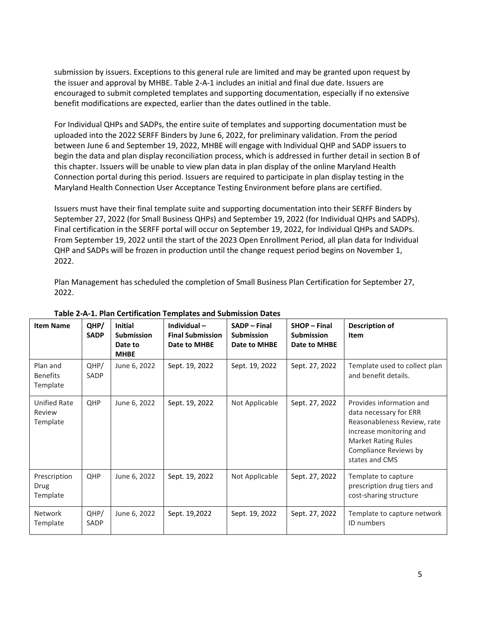submission by issuers. Exceptions to this general rule are limited and may be granted upon request by the issuer and approval by MHBE. Table 2-A-1 includes an initial and final due date. Issuers are encouraged to submit completed templates and supporting documentation, especially if no extensive benefit modifications are expected, earlier than the dates outlined in the table.

For Individual QHPs and SADPs, the entire suite of templates and supporting documentation must be uploaded into the 2022 SERFF Binders by June 6, 2022, for preliminary validation. From the period between June 6 and September 19, 2022, MHBE will engage with Individual QHP and SADP issuers to begin the data and plan display reconciliation process, which is addressed in further detail in section B of this chapter. Issuers will be unable to view plan data in plan display of the online Maryland Health Connection portal during this period. Issuers are required to participate in plan display testing in the Maryland Health Connection User Acceptance Testing Environment before plans are certified.

Issuers must have their final template suite and supporting documentation into their SERFF Binders by September 27, 2022 (for Small Business QHPs) and September 19, 2022 (for Individual QHPs and SADPs). Final certification in the SERFF portal will occur on September 19, 2022, for Individual QHPs and SADPs. From September 19, 2022 until the start of the 2023 Open Enrollment Period, all plan data for Individual QHP and SADPs will be frozen in production until the change request period begins on November 1, 2022.

Plan Management has scheduled the completion of Small Business Plan Certification for September 27, 2022.

| <b>Item Name</b>                        | QHP/<br><b>SADP</b> | <b>Initial</b><br><b>Submission</b><br>Date to<br><b>MHBE</b> | Individual $-$<br><b>Final Submission</b><br>Date to MHBE | <b>SADP</b> - Final<br><b>Submission</b><br>Date to MHBE | <b>SHOP - Final</b><br><b>Submission</b><br>Date to MHBE | Description of<br><b>Item</b>                                                                                                                                                         |
|-----------------------------------------|---------------------|---------------------------------------------------------------|-----------------------------------------------------------|----------------------------------------------------------|----------------------------------------------------------|---------------------------------------------------------------------------------------------------------------------------------------------------------------------------------------|
| Plan and<br><b>Benefits</b><br>Template | QHP/<br>SADP        | June 6, 2022                                                  | Sept. 19, 2022                                            | Sept. 19, 2022                                           | Sept. 27, 2022                                           | Template used to collect plan<br>and benefit details.                                                                                                                                 |
| Unified Rate<br>Review<br>Template      | QHP                 | June 6, 2022                                                  | Sept. 19, 2022                                            | Not Applicable                                           | Sept. 27, 2022                                           | Provides information and<br>data necessary for ERR<br>Reasonableness Review, rate<br>increase monitoring and<br><b>Market Rating Rules</b><br>Compliance Reviews by<br>states and CMS |
| Prescription<br>Drug<br>Template        | QHP                 | June 6, 2022                                                  | Sept. 19, 2022                                            | Not Applicable                                           | Sept. 27, 2022                                           | Template to capture<br>prescription drug tiers and<br>cost-sharing structure                                                                                                          |
| <b>Network</b><br>Template              | QHP/<br>SADP        | June 6, 2022                                                  | Sept. 19,2022                                             | Sept. 19, 2022                                           | Sept. 27, 2022                                           | Template to capture network<br><b>ID</b> numbers                                                                                                                                      |

#### **Table 2-A-1. Plan Certification Templates and Submission Dates**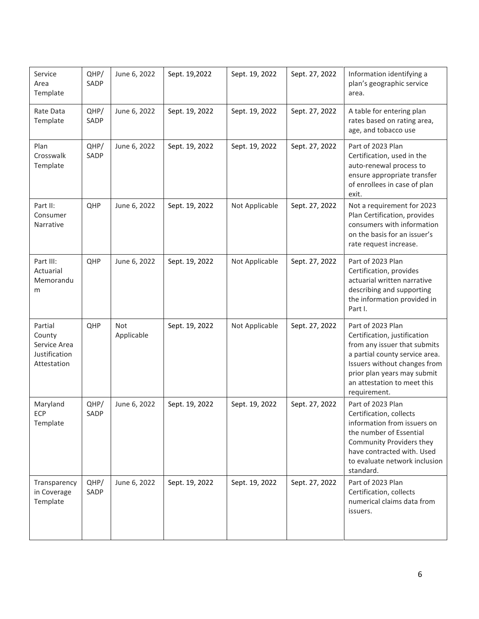| Service<br>Area<br>Template                                       | QHP/<br>SADP | June 6, 2022      | Sept. 19,2022  | Sept. 19, 2022 | Sept. 27, 2022 | Information identifying a<br>plan's geographic service<br>area.                                                                                                                                                                   |
|-------------------------------------------------------------------|--------------|-------------------|----------------|----------------|----------------|-----------------------------------------------------------------------------------------------------------------------------------------------------------------------------------------------------------------------------------|
| Rate Data<br>Template                                             | QHP/<br>SADP | June 6, 2022      | Sept. 19, 2022 | Sept. 19, 2022 | Sept. 27, 2022 | A table for entering plan<br>rates based on rating area,<br>age, and tobacco use                                                                                                                                                  |
| Plan<br>Crosswalk<br>Template                                     | QHP/<br>SADP | June 6, 2022      | Sept. 19, 2022 | Sept. 19, 2022 | Sept. 27, 2022 | Part of 2023 Plan<br>Certification, used in the<br>auto-renewal process to<br>ensure appropriate transfer<br>of enrollees in case of plan<br>exit.                                                                                |
| Part II:<br>Consumer<br>Narrative                                 | QHP          | June 6, 2022      | Sept. 19, 2022 | Not Applicable | Sept. 27, 2022 | Not a requirement for 2023<br>Plan Certification, provides<br>consumers with information<br>on the basis for an issuer's<br>rate request increase.                                                                                |
| Part III:<br>Actuarial<br>Memorandu<br>m                          | QHP          | June 6, 2022      | Sept. 19, 2022 | Not Applicable | Sept. 27, 2022 | Part of 2023 Plan<br>Certification, provides<br>actuarial written narrative<br>describing and supporting<br>the information provided in<br>Part I.                                                                                |
| Partial<br>County<br>Service Area<br>Justification<br>Attestation | QHP          | Not<br>Applicable | Sept. 19, 2022 | Not Applicable | Sept. 27, 2022 | Part of 2023 Plan<br>Certification, justification<br>from any issuer that submits<br>a partial county service area.<br>Issuers without changes from<br>prior plan years may submit<br>an attestation to meet this<br>requirement. |
| Maryland<br>ECP<br>Template                                       | QHP/<br>SADP | June 6, 2022      | Sept. 19, 2022 | Sept. 19, 2022 | Sept. 27, 2022 | Part of 2023 Plan<br>Certification, collects<br>information from issuers on<br>the number of Essential<br>Community Providers they<br>have contracted with. Used<br>to evaluate network inclusion<br>standard.                    |
| Transparency<br>in Coverage<br>Template                           | QHP/<br>SADP | June 6, 2022      | Sept. 19, 2022 | Sept. 19, 2022 | Sept. 27, 2022 | Part of 2023 Plan<br>Certification, collects<br>numerical claims data from<br>issuers.                                                                                                                                            |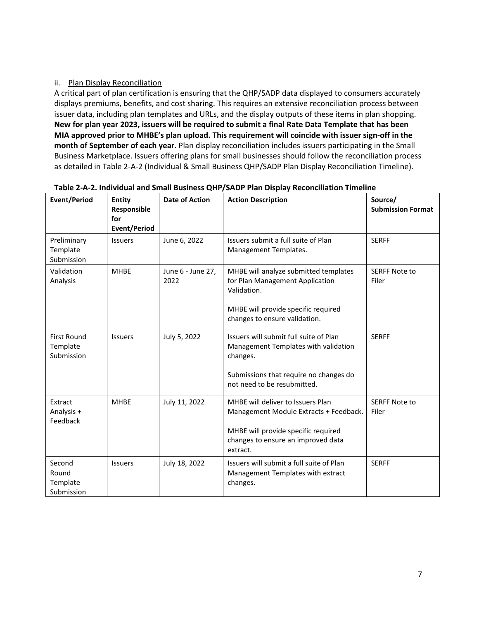#### <span id="page-9-0"></span>ii. Plan Display Reconciliation

A critical part of plan certification is ensuring that the QHP/SADP data displayed to consumers accurately displays premiums, benefits, and cost sharing. This requires an extensive reconciliation process between issuer data, including plan templates and URLs, and the display outputs of these items in plan shopping. **New for plan year 2023, issuers will be required to submit a final Rate Data Template that has been MIA approved prior to MHBE's plan upload. This requirement will coincide with issuer sign-off in the month of September of each year.** Plan display reconciliation includes issuers participating in the Small Business Marketplace. Issuers offering plans for small businesses should follow the reconciliation process as detailed in Table 2-A-2 (Individual & Small Business QHP/SADP Plan Display Reconciliation Timeline).

| <b>Event/Period</b>                          | <b>Entity</b><br>Responsible<br>for<br><b>Event/Period</b> | <b>Date of Action</b>     | <b>Action Description</b>                                                                                                                                            | Source/<br><b>Submission Format</b> |
|----------------------------------------------|------------------------------------------------------------|---------------------------|----------------------------------------------------------------------------------------------------------------------------------------------------------------------|-------------------------------------|
| Preliminary<br>Template<br>Submission        | <b>Issuers</b>                                             | June 6, 2022              | Issuers submit a full suite of Plan<br>Management Templates.                                                                                                         | <b>SERFF</b>                        |
| Validation<br>Analysis                       | <b>MHBE</b>                                                | June 6 - June 27,<br>2022 | MHBE will analyze submitted templates<br>for Plan Management Application<br>Validation.<br>MHBE will provide specific required<br>changes to ensure validation.      | <b>SERFF Note to</b><br>Filer       |
| <b>First Round</b><br>Template<br>Submission | <b>Issuers</b>                                             | July 5, 2022              | Issuers will submit full suite of Plan<br>Management Templates with validation<br>changes.<br>Submissions that require no changes do<br>not need to be resubmitted.  | <b>SERFF</b>                        |
| Extract<br>Analysis +<br>Feedback            | <b>MHBE</b>                                                | July 11, 2022             | MHBE will deliver to Issuers Plan<br>Management Module Extracts + Feedback.<br>MHBE will provide specific required<br>changes to ensure an improved data<br>extract. | <b>SERFF Note to</b><br>Filer       |
| Second<br>Round<br>Template<br>Submission    | <b>Issuers</b>                                             | July 18, 2022             | Issuers will submit a full suite of Plan<br>Management Templates with extract<br>changes.                                                                            | <b>SERFF</b>                        |

#### **Table 2-A-2. Individual and Small Business QHP/SADP Plan Display Reconciliation Timeline**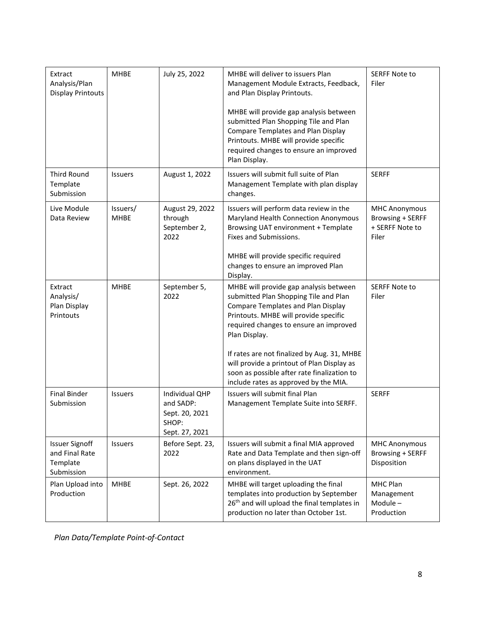| Extract<br>Analysis/Plan<br><b>Display Printouts</b>              | <b>MHBE</b>             | July 25, 2022                                                            | MHBE will deliver to issuers Plan<br>Management Module Extracts, Feedback,<br>and Plan Display Printouts.<br>MHBE will provide gap analysis between<br>submitted Plan Shopping Tile and Plan<br>Compare Templates and Plan Display<br>Printouts. MHBE will provide specific<br>required changes to ensure an improved<br>Plan Display.                                                                                | <b>SERFF Note to</b><br>Filer                                               |
|-------------------------------------------------------------------|-------------------------|--------------------------------------------------------------------------|-----------------------------------------------------------------------------------------------------------------------------------------------------------------------------------------------------------------------------------------------------------------------------------------------------------------------------------------------------------------------------------------------------------------------|-----------------------------------------------------------------------------|
| Third Round<br>Template<br>Submission                             | <b>Issuers</b>          | August 1, 2022                                                           | Issuers will submit full suite of Plan<br>Management Template with plan display<br>changes.                                                                                                                                                                                                                                                                                                                           | <b>SERFF</b>                                                                |
| Live Module<br>Data Review                                        | Issuers/<br><b>MHBE</b> | August 29, 2022<br>through<br>September 2,<br>2022                       | Issuers will perform data review in the<br>Maryland Health Connection Anonymous<br>Browsing UAT environment + Template<br>Fixes and Submissions.<br>MHBE will provide specific required<br>changes to ensure an improved Plan<br>Display.                                                                                                                                                                             | <b>MHC Anonymous</b><br><b>Browsing + SERFF</b><br>+ SERFF Note to<br>Filer |
| Extract<br>Analysis/<br>Plan Display<br>Printouts                 | <b>MHBE</b>             | September 5,<br>2022                                                     | MHBE will provide gap analysis between<br>submitted Plan Shopping Tile and Plan<br><b>Compare Templates and Plan Display</b><br>Printouts. MHBE will provide specific<br>required changes to ensure an improved<br>Plan Display.<br>If rates are not finalized by Aug. 31, MHBE<br>will provide a printout of Plan Display as<br>soon as possible after rate finalization to<br>include rates as approved by the MIA. | <b>SERFF Note to</b><br>Filer                                               |
| <b>Final Binder</b><br>Submission                                 | Issuers                 | Individual QHP<br>and SADP:<br>Sept. 20, 2021<br>SHOP:<br>Sept. 27, 2021 | Issuers will submit final Plan<br>Management Template Suite into SERFF.                                                                                                                                                                                                                                                                                                                                               | <b>SERFF</b>                                                                |
| <b>Issuer Signoff</b><br>and Final Rate<br>Template<br>Submission | Issuers                 | Before Sept. 23,<br>2022                                                 | Issuers will submit a final MIA approved<br>Rate and Data Template and then sign-off<br>on plans displayed in the UAT<br>environment.                                                                                                                                                                                                                                                                                 | <b>MHC Anonymous</b><br><b>Browsing + SERFF</b><br>Disposition              |
| Plan Upload into<br>Production                                    | <b>MHBE</b>             | Sept. 26, 2022                                                           | MHBE will target uploading the final<br>templates into production by September<br>26 <sup>th</sup> and will upload the final templates in<br>production no later than October 1st.                                                                                                                                                                                                                                    | MHC Plan<br>Management<br>Module-<br>Production                             |

*Plan Data/Template Point-of-Contact*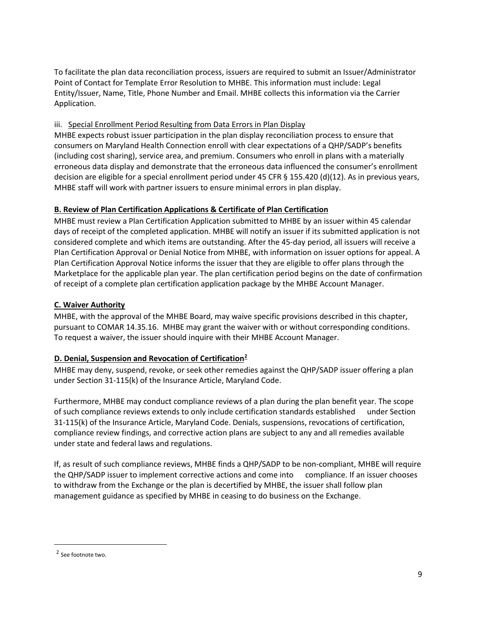To facilitate the plan data reconciliation process, issuers are required to submit an Issuer/Administrator Point of Contact for Template Error Resolution to MHBE. This information must include: Legal Entity/Issuer, Name, Title, Phone Number and Email. MHBE collects this information via the Carrier Application.

## <span id="page-11-0"></span>iii. Special Enrollment Period Resulting from Data Errors in Plan Display

MHBE expects robust issuer participation in the plan display reconciliation process to ensure that consumers on Maryland Health Connection enroll with clear expectations of a QHP/SADP's benefits (including cost sharing), service area, and premium. Consumers who enroll in plans with a materially erroneous data display and demonstrate that the erroneous data influenced the consumer's enrollment decision are eligible for a special enrollment period under 45 CFR § 155.420 (d)(12). As in previous years, MHBE staff will work with partner issuers to ensure minimal errors in plan display.

# <span id="page-11-1"></span>**B. Review of Plan Certification Applications & Certificate of Plan Certification**

MHBE must review a Plan Certification Application submitted to MHBE by an issuer within 45 calendar days of receipt of the completed application. MHBE will notify an issuer if its submitted application is not considered complete and which items are outstanding. After the 45-day period, all issuers will receive a Plan Certification Approval or Denial Notice from MHBE, with information on issuer options for appeal. A Plan Certification Approval Notice informs the issuer that they are eligible to offer plans through the Marketplace for the applicable plan year. The plan certification period begins on the date of confirmation of receipt of a complete plan certification application package by the MHBE Account Manager.

# <span id="page-11-2"></span>**C. Waiver Authority**

MHBE, with the approval of the MHBE Board, may waive specific provisions described in this chapter, pursuant to COMAR 14.35.16. MHBE may grant the waiver with or without corresponding conditions. To request a waiver, the issuer should inquire with their MHBE Account Manager.

## <span id="page-11-3"></span>**D. Denial, Suspension and Revocation of Certification[2](#page-11-4)**

MHBE may deny, suspend, revoke, or seek other remedies against the QHP/SADP issuer offering a plan under Section 31-115(k) of the Insurance Article, Maryland Code.

Furthermore, MHBE may conduct compliance reviews of a plan during the plan benefit year. The scope of such compliance reviews extends to only include certification standards established under Section 31-115(k) of the Insurance Article, Maryland Code. Denials, suspensions, revocations of certification, compliance review findings, and corrective action plans are subject to any and all remedies available under state and federal laws and regulations.

If, as result of such compliance reviews, MHBE finds a QHP/SADP to be non-compliant, MHBE will require the QHP/SADP issuer to implement corrective actions and come into compliance. If an issuer chooses to withdraw from the Exchange or the plan is decertified by MHBE, the issuer shall follow plan management guidance as specified by MHBE in ceasing to do business on the Exchange.

<span id="page-11-4"></span><sup>2</sup> See footnote two.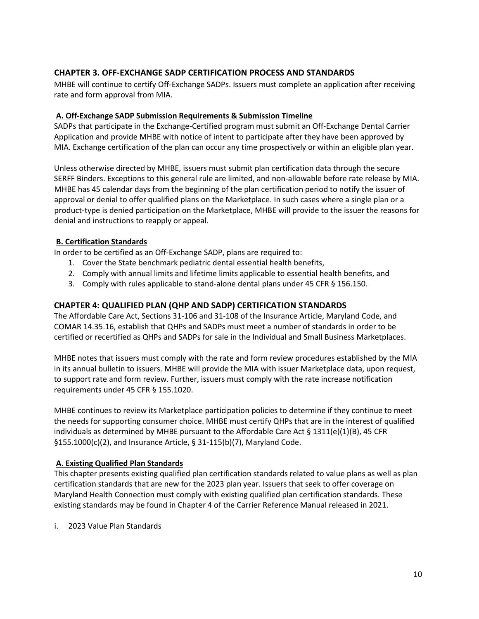# <span id="page-12-0"></span>**CHAPTER 3. OFF-EXCHANGE SADP CERTIFICATION PROCESS AND STANDARDS**

MHBE will continue to certify Off-Exchange SADPs. Issuers must complete an application after receiving rate and form approval from MIA.

#### <span id="page-12-1"></span>**A. Off-Exchange SADP Submission Requirements & Submission Timeline**

SADPs that participate in the Exchange-Certified program must submit an Off-Exchange Dental Carrier Application and provide MHBE with notice of intent to participate after they have been approved by MIA. Exchange certification of the plan can occur any time prospectively or within an eligible plan year.

Unless otherwise directed by MHBE, issuers must submit plan certification data through the secure SERFF Binders. Exceptions to this general rule are limited, and non-allowable before rate release by MIA. MHBE has 45 calendar days from the beginning of the plan certification period to notify the issuer of approval or denial to offer qualified plans on the Marketplace. In such cases where a single plan or a product-type is denied participation on the Marketplace, MHBE will provide to the issuer the reasons for denial and instructions to reapply or appeal.

#### <span id="page-12-2"></span>**B. Certification Standards**

In order to be certified as an Off-Exchange SADP, plans are required to:

- 1. Cover the State benchmark pediatric dental essential health benefits,
- 2. Comply with annual limits and lifetime limits applicable to essential health benefits, and
- 3. Comply with rules applicable to stand-alone dental plans under 45 CFR § 156.150.

### <span id="page-12-3"></span>**CHAPTER 4: QUALIFIED PLAN (QHP AND SADP) CERTIFICATION STANDARDS**

The Affordable Care Act, Sections 31-106 and 31-108 of the Insurance Article, Maryland Code, and COMAR 14.35.16, establish that QHPs and SADPs must meet a number of standards in order to be certified or recertified as QHPs and SADPs for sale in the Individual and Small Business Marketplaces.

MHBE notes that issuers must comply with the rate and form review procedures established by the MIA in its annual bulletin to issuers. MHBE will provide the MIA with issuer Marketplace data, upon request, to support rate and form review. Further, issuers must comply with the rate increase notification requirements under 45 CFR § 155.1020.

MHBE continues to review its Marketplace participation policies to determine if they continue to meet the needs for supporting consumer choice. MHBE must certify QHPs that are in the interest of qualified individuals as determined by MHBE pursuant to the Affordable Care Act  $\S$  1311(e)(1)(B), 45 CFR §155.1000(c)(2), and Insurance Article, § 31-115(b)(7), Maryland Code.

#### <span id="page-12-4"></span>**A. Existing Qualified Plan Standards**

This chapter presents existing qualified plan certification standards related to value plans as well as plan certification standards that are new for the 2023 plan year. Issuers that seek to offer coverage on Maryland Health Connection must comply with existing qualified plan certification standards. These existing standards may be found in Chapter 4 of the Carrier Reference Manual released in 2021.

i. 2023 Value Plan Standards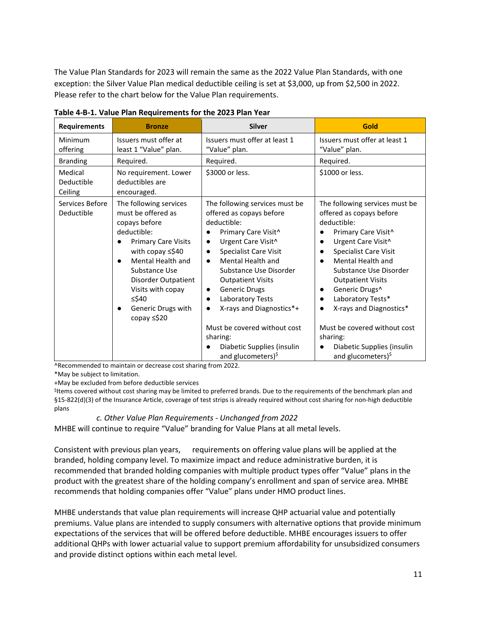The Value Plan Standards for 2023 will remain the same as the 2022 Value Plan Standards, with one exception: the Silver Value Plan medical deductible ceiling is set at \$3,000, up from \$2,500 in 2022. Please refer to the chart below for the Value Plan requirements.

| <b>Requirements</b>              | <b>Bronze</b>                                                                                                                                                                                                                                                  | <b>Silver</b>                                                                                                                                                                                                                                                                                                                                                                                                                                               | Gold                                                                                                                                                                                                                                                                                                                                                                                                                                                 |
|----------------------------------|----------------------------------------------------------------------------------------------------------------------------------------------------------------------------------------------------------------------------------------------------------------|-------------------------------------------------------------------------------------------------------------------------------------------------------------------------------------------------------------------------------------------------------------------------------------------------------------------------------------------------------------------------------------------------------------------------------------------------------------|------------------------------------------------------------------------------------------------------------------------------------------------------------------------------------------------------------------------------------------------------------------------------------------------------------------------------------------------------------------------------------------------------------------------------------------------------|
| <b>Minimum</b><br>offering       | Issuers must offer at<br>least 1 "Value" plan.                                                                                                                                                                                                                 | Issuers must offer at least 1<br>"Value" plan.                                                                                                                                                                                                                                                                                                                                                                                                              | Issuers must offer at least 1<br>"Value" plan.                                                                                                                                                                                                                                                                                                                                                                                                       |
| <b>Branding</b>                  | Required.                                                                                                                                                                                                                                                      | Required.                                                                                                                                                                                                                                                                                                                                                                                                                                                   | Required.                                                                                                                                                                                                                                                                                                                                                                                                                                            |
| Medical<br>Deductible<br>Ceiling | No requirement. Lower<br>deductibles are<br>encouraged.                                                                                                                                                                                                        | \$3000 or less.                                                                                                                                                                                                                                                                                                                                                                                                                                             | \$1000 or less.                                                                                                                                                                                                                                                                                                                                                                                                                                      |
| Services Before<br>Deductible    | The following services<br>must be offered as<br>copays before<br>deductible:<br><b>Primary Care Visits</b><br>with copay ≤\$40<br>Mental Health and<br>Substance Use<br>Disorder Outpatient<br>Visits with copay<br>≤\$40<br>Generic Drugs with<br>copay ≤\$20 | The following services must be<br>offered as copays before<br>deductible:<br>Primary Care Visit <sup>^</sup><br>Urgent Care Visit^<br><b>Specialist Care Visit</b><br>Mental Health and<br>$\bullet$<br>Substance Use Disorder<br><b>Outpatient Visits</b><br><b>Generic Drugs</b><br>$\bullet$<br>Laboratory Tests<br>X-rays and Diagnostics*+<br>Must be covered without cost<br>sharing:<br>Diabetic Supplies (insulin<br>and glucometers) <sup>\$</sup> | The following services must be<br>offered as copays before<br>deductible:<br>Primary Care Visit <sup>^</sup><br>Urgent Care Visit^<br><b>Specialist Care Visit</b><br>Mental Health and<br>Substance Use Disorder<br><b>Outpatient Visits</b><br>Generic Drugs <sup>^</sup><br>$\bullet$<br>Laboratory Tests*<br>X-rays and Diagnostics*<br>Must be covered without cost<br>sharing:<br>Diabetic Supplies (insulin<br>and glucometers) <sup>\$</sup> |

**Table 4-B-1. Value Plan Requirements for the 2023 Plan Year** 

^Recommended to maintain or decrease cost sharing from 2022.

\*May be subject to limitation.

+May be excluded from before deductible services

<sup>\$</sup>Items covered without cost sharing may be limited to preferred brands. Due to the requirements of the benchmark plan and §15-822(d)(3) of the Insurance Article, coverage of test strips is already required without cost sharing for non-high deductible plans

#### *c. Other Value Plan Requirements - Unchanged from 2022*

MHBE will continue to require "Value" branding for Value Plans at all metal levels.

Consistent with previous plan years, requirements on offering value plans will be applied at the branded, holding company level. To maximize impact and reduce administrative burden, it is recommended that branded holding companies with multiple product types offer "Value" plans in the product with the greatest share of the holding company's enrollment and span of service area. MHBE recommends that holding companies offer "Value" plans under HMO product lines.

MHBE understands that value plan requirements will increase QHP actuarial value and potentially premiums. Value plans are intended to supply consumers with alternative options that provide minimum expectations of the services that will be offered before deductible. MHBE encourages issuers to offer additional QHPs with lower actuarial value to support premium affordability for unsubsidized consumers and provide distinct options within each metal level.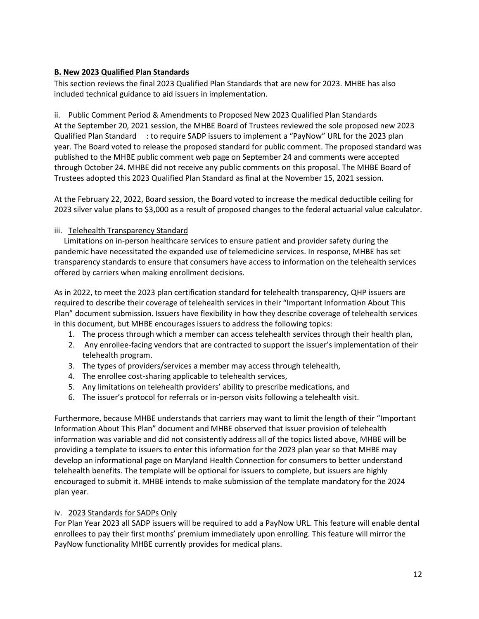## <span id="page-14-0"></span>**B. New 2023 Qualified Plan Standards**

This section reviews the final 2023 Qualified Plan Standards that are new for 2023. MHBE has also included technical guidance to aid issuers in implementation.

#### <span id="page-14-1"></span>ii. Public Comment Period & Amendments to Proposed New 2023 Qualified Plan Standards

At the September 20, 2021 session, the MHBE Board of Trustees reviewed the sole proposed new 2023 Qualified Plan Standard : to require SADP issuers to implement a "PayNow" URL for the 2023 plan year. The Board voted to release the proposed standard for public comment. The proposed standard was published to the MHBE public comment web page on September 24 and comments were accepted through October 24. MHBE did not receive any public comments on this proposal. The MHBE Board of Trustees adopted this 2023 Qualified Plan Standard as final at the November 15, 2021 session.

At the February 22, 2022, Board session, the Board voted to increase the medical deductible ceiling for 2023 silver value plans to \$3,000 as a result of proposed changes to the federal actuarial value calculator.

#### <span id="page-14-2"></span>iii. Telehealth Transparency Standard

 Limitations on in-person healthcare services to ensure patient and provider safety during the pandemic have necessitated the expanded use of telemedicine services. In response, MHBE has set transparency standards to ensure that consumers have access to information on the telehealth services offered by carriers when making enrollment decisions.

As in 2022, to meet the 2023 plan certification standard for telehealth transparency, QHP issuers are required to describe their coverage of telehealth services in their "Important Information About This Plan" document submission. Issuers have flexibility in how they describe coverage of telehealth services in this document, but MHBE encourages issuers to address the following topics:

- 1. The process through which a member can access telehealth services through their health plan,
- 2. Any enrollee-facing vendors that are contracted to support the issuer's implementation of their telehealth program.
- 3. The types of providers/services a member may access through telehealth,
- 4. The enrollee cost-sharing applicable to telehealth services,
- 5. Any limitations on telehealth providers' ability to prescribe medications, and
- 6. The issuer's protocol for referrals or in-person visits following a telehealth visit.

Furthermore, because MHBE understands that carriers may want to limit the length of their "Important Information About This Plan" document and MHBE observed that issuer provision of telehealth information was variable and did not consistently address all of the topics listed above, MHBE will be providing a template to issuers to enter this information for the 2023 plan year so that MHBE may develop an informational page on Maryland Health Connection for consumers to better understand telehealth benefits. The template will be optional for issuers to complete, but issuers are highly encouraged to submit it. MHBE intends to make submission of the template mandatory for the 2024 plan year.

## <span id="page-14-3"></span>iv. 2023 Standards for SADPs Only

For Plan Year 2023 all SADP issuers will be required to add a PayNow URL. This feature will enable dental enrollees to pay their first months' premium immediately upon enrolling. This feature will mirror the PayNow functionality MHBE currently provides for medical plans.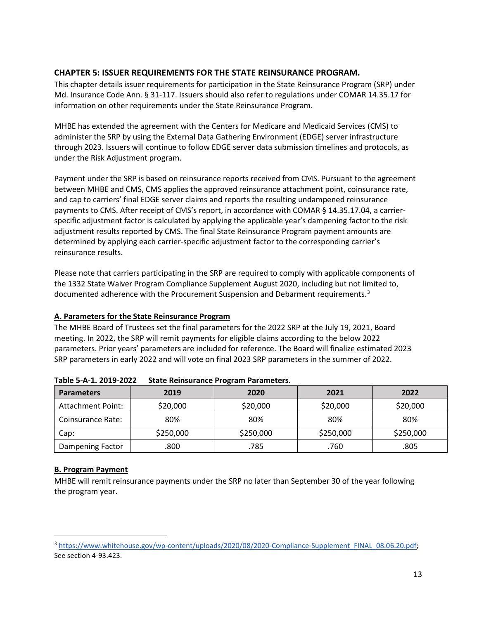# <span id="page-15-0"></span>**CHAPTER 5: ISSUER REQUIREMENTS FOR THE STATE REINSURANCE PROGRAM.**

This chapter details issuer requirements for participation in the State Reinsurance Program (SRP) under Md. Insurance Code Ann. § 31-117. Issuers should also refer to regulations under COMAR 14.35.17 for information on other requirements under the State Reinsurance Program.

MHBE has extended the agreement with the Centers for Medicare and Medicaid Services (CMS) to administer the SRP by using the External Data Gathering Environment (EDGE) server infrastructure through 2023. Issuers will continue to follow EDGE server data submission timelines and protocols, as under the Risk Adjustment program.

Payment under the SRP is based on reinsurance reports received from CMS. Pursuant to the agreement between MHBE and CMS, CMS applies the approved reinsurance attachment point, coinsurance rate, and cap to carriers' final EDGE server claims and reports the resulting undampened reinsurance payments to CMS. After receipt of CMS's report, in accordance with COMAR § 14.35.17.04, a carrierspecific adjustment factor is calculated by applying the applicable year's dampening factor to the risk adjustment results reported by CMS. The final State Reinsurance Program payment amounts are determined by applying each carrier-specific adjustment factor to the corresponding carrier's reinsurance results.

Please note that carriers participating in the SRP are required to comply with applicable components of the 1332 State Waiver Program Compliance Supplement August 2020, including but not limited to, documented adherence with the Procurement Suspension and Debarment requirements.<sup>[3](#page-15-3)</sup>

## <span id="page-15-1"></span>**A. Parameters for the State Reinsurance Program**

The MHBE Board of Trustees set the final parameters for the 2022 SRP at the July 19, 2021, Board meeting. In 2022, the SRP will remit payments for eligible claims according to the below 2022 parameters. Prior years' parameters are included for reference. The Board will finalize estimated 2023 SRP parameters in early 2022 and will vote on final 2023 SRP parameters in the summer of 2022.

| <b>Parameters</b>        | 2019      | 2020      | 2021      | 2022      |
|--------------------------|-----------|-----------|-----------|-----------|
| <b>Attachment Point:</b> | \$20,000  | \$20,000  | \$20,000  | \$20,000  |
| <b>Coinsurance Rate:</b> | 80%       | 80%       | 80%       | 80%       |
| Cap:                     | \$250,000 | \$250,000 | \$250,000 | \$250,000 |
| <b>Dampening Factor</b>  | .800      | .785      | .760      | .805      |

| Table 5-A-1. 2019-2022 State Reinsurance Program Parameters. |
|--------------------------------------------------------------|
|                                                              |

## <span id="page-15-2"></span>**B. Program Payment**

MHBE will remit reinsurance payments under the SRP no later than September 30 of the year following the program year.

<span id="page-15-3"></span><sup>&</sup>lt;sup>3</sup> [https://www.whitehouse.gov/wp-content/uploads/2020/08/2020-Compliance-Supplement\\_FINAL\\_08.06.20.pdf;](https://www.whitehouse.gov/wp-content/uploads/2020/08/2020-Compliance-Supplement_FINAL_08.06.20.pdf) See section 4-93.423.